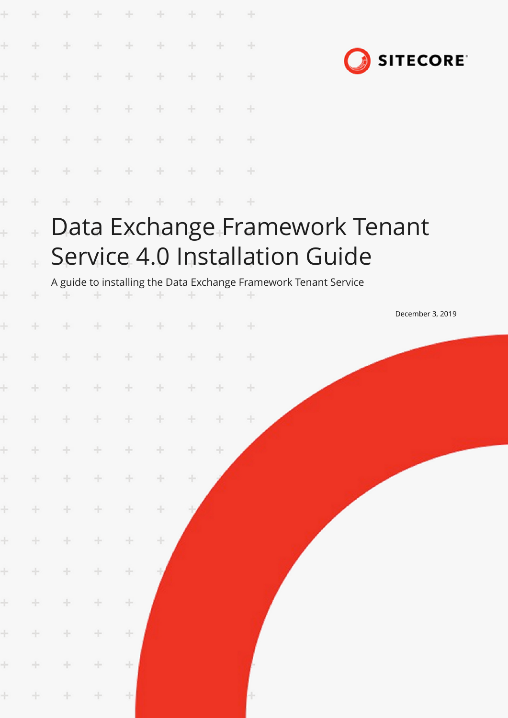| Ł          | ÷            | ÷                   | ÷     | ÷       | ÷             |       |        | ÷             |                                                                  |
|------------|--------------|---------------------|-------|---------|---------------|-------|--------|---------------|------------------------------------------------------------------|
| ÷          | ÷            | $+$                 | $+$   | $\div$  | ÷             | ÷     | ÷      | $+$           | <b>SITECORE</b>                                                  |
| ł          | ÷            | ÷                   | $+$   | ÷       | ÷             | ÷     | ÷      | ÷             |                                                                  |
| Ł          | ÷            | $+$                 | $+$   | $+$     | $+$           | $+$   | ÷      | $+$           |                                                                  |
| Ł          | ÷            | $\div$              | $+$   | $+$     | $+$           | $+$   | $+$    | $+$           |                                                                  |
| ł          | ÷            | ÷                   | ÷     | $+$     | $\rightarrow$ | $+$   | ÷      | $\rightarrow$ |                                                                  |
| Ł          | ÷            |                     |       |         | ÷             |       |        | $+$           |                                                                  |
| $\ddot{+}$ | $\ddot{\pm}$ |                     |       |         |               |       |        |               | Data Exchange Framework Tenant                                   |
| $\ddot{}$  |              |                     |       |         |               |       |        |               | Service 4.0 Installation Guide                                   |
|            |              |                     |       |         |               |       |        |               | A guide to installing the Data Exchange Framework Tenant Service |
| ÷          |              |                     |       | ÷       |               |       |        |               | December 3, 2019                                                 |
| ł          |              | ÷                   |       |         | ÷             |       |        | ÷             |                                                                  |
| ÷          |              | ÷                   |       | ÷       | ÷             |       |        | ÷             |                                                                  |
|            | $+ +$        | $+ + + + + + + + +$ |       |         |               |       |        | $+$           |                                                                  |
| $\pm$      | $\pm$        | $\pm$               | $+$   | $\pm$   | $\pm$         | $+$   | $+$    | $\pm$         |                                                                  |
| ÷.         | $+$          | $+$                 | $+$   | $\div$  | $\div$        | $+$   | $\div$ |               |                                                                  |
| ÷          | ÷            | ÷.                  | ÷.    | ÷       | ÷.            | $\pm$ |        |               |                                                                  |
| ÷          | ÷            | $\pm$               | ÷.    | $\div$  | ÷             |       |        |               |                                                                  |
| ÷          | $\pm$        | ÷                   | ÷     | ÷       | ÷             |       |        |               |                                                                  |
| ÷          | ÷            | $\pm$               | ÷     | $\!+\!$ |               |       |        |               |                                                                  |
| ÷          | $\div$       | $\pm$               | ÷     | $\div$  |               |       |        |               |                                                                  |
| $\pm$      | $\pm$        | ÷.                  | ÷.    | ÷       |               |       |        |               |                                                                  |
| $\pm$      | $\pm$        | $\pm$               | $\pm$ | ÷       |               |       |        |               |                                                                  |
| $\pm$      | $+$          | $+$                 | $\pm$ | $\pm$   |               |       |        | Н             |                                                                  |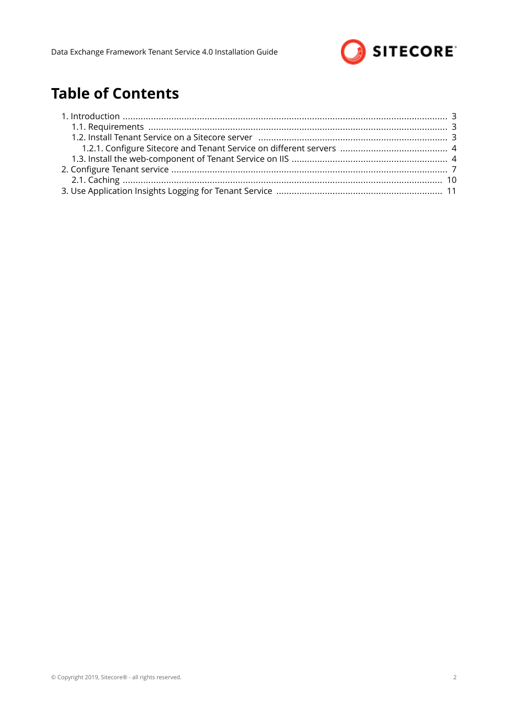

# **Table of Contents**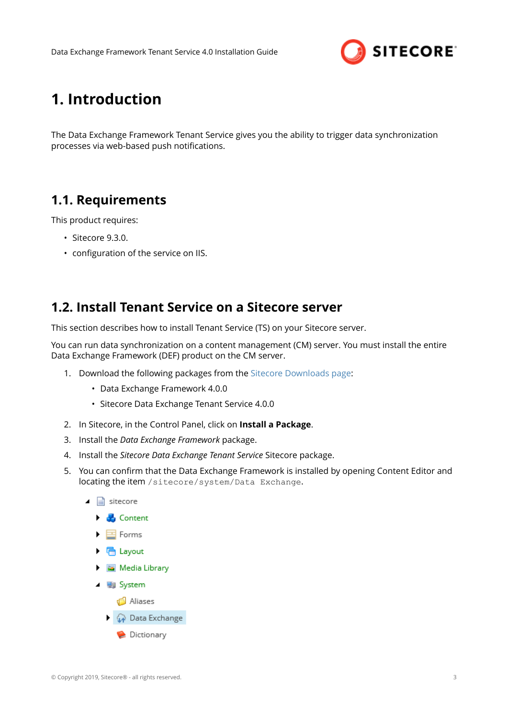

# <span id="page-2-0"></span>**1. Introduction**

The Data Exchange Framework Tenant Service gives you the ability to trigger data synchronization processes via web-based push notifications.

## **1.1. Requirements**

This product requires:

- Sitecore 9.3.0.
- configuration of the service on IIS.

## **1.2. Install Tenant Service on a Sitecore server**

This section describes how to install Tenant Service (TS) on your Sitecore server.

You can run data synchronization on a content management (CM) server. You must install the entire Data Exchange Framework (DEF) product on the CM server.

- 1. Download the following packages from the [Sitecore Downloads page](https://dev.sitecore.net/Downloads.aspx):
	- Data Exchange Framework 4.0.0
	- Sitecore Data Exchange Tenant Service 4.0.0
- 2. In Sitecore, in the Control Panel, click on **Install a Package**.
- 3. Install the *Data Exchange Framework* package.
- 4. Install the *Sitecore Data Exchange Tenant Service* Sitecore package.
- 5. You can confirm that the Data Exchange Framework is installed by opening Content Editor and locating the item /sitecore/system/Data Exchange.
	- $\Box$  sitecore  $\blacktriangleright$   $\blacktriangleright$  Content  $\blacktriangleright$   $\blacksquare$  Forms  $\triangleright$   $\blacksquare$  Layout Media Library
		- $\blacksquare$  System
			- <u>d</u> Aliases
			- **Data Exchange** 
				- Dictionary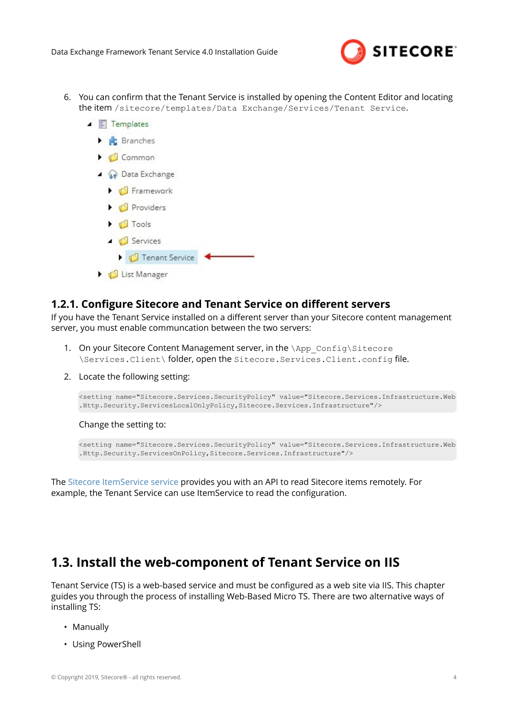

- <span id="page-3-0"></span>6. You can confirm that the Tenant Service is installed by opening the Content Editor and locating the item /sitecore/templates/Data Exchange/Services/Tenant Service.
	- $\triangleright$   $\mathbb{R}$  Branches  $\bullet$   $\bullet$  Common ▲ **A** Data Exchange  $\bigcup$  Framework **D** Providers  $\triangleright$   $\blacksquare$  Tools ▲ <del>○</del> Services **J** Tenant Service **D** List Manager

### **1.2.1. Configure Sitecore and Tenant Service on different servers**

If you have the Tenant Service installed on a different server than your Sitecore content management server, you must enable communcation between the two servers:

- 1. On your Sitecore Content Management server, in the \App\_Config\Sitecore \Services.Client\ folder, open the Sitecore.Services.Client.config file
- 2. Locate the following setting:

 $\blacksquare$  Templates

```
<setting name="Sitecore.Services.SecurityPolicy" value="Sitecore.Services.Infrastructure.Web
.Http.Security.ServicesLocalOnlyPolicy,Sitecore.Services.Infrastructure"/>
```
Change the setting to:

```
<setting name="Sitecore.Services.SecurityPolicy" value="Sitecore.Services.Infrastructure.Web
.Http.Security.ServicesOnPolicy,Sitecore.Services.Infrastructure"/>
```
The Sitecore ItemService service provides you with an API to read Sitecore items remotely. For example, the Tenant Service can use ItemService to read the configuration.

## **1.3. Install the web-component of Tenant Service on IIS**

Tenant Service (TS) is a web-based service and must be configured as a web site via IIS. This chapter guides you through the process of installing Web-Based Micro TS. There are two alternative ways of installing TS:

- Manually
- Using PowerShell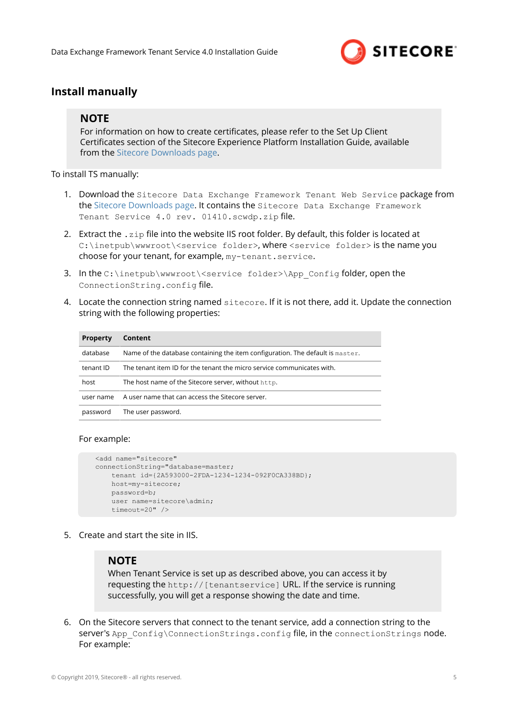

### **Install manually**

### **NOTE**

For information on how to create certificates, please refer to the Set Up Client Certificates section of the Sitecore Experience Platform Installation Guide, available from the [Sitecore Downloads page.](https://dev.sitecore.net/Downloads.aspx)

To install TS manually:

- 1. Download the Sitecore Data Exchange Framework Tenant Web Service package from the [Sitecore Downloads page.](https://dev.sitecore.net/Downloads.aspx) It contains the Sitecore Data Exchange Framework Tenant Service 4.0 rev. 01410.scwdp.zip file.
- 2. Extract the  $\cdot$  zip file into the website IIS root folder. By default, this folder is located at C:\inetpub\wwwroot\<service folder>, where <service folder> is the name you choose for your tenant, for example, my-tenant.service.
- 3. In the C:\inetpub\wwwroot\<service folder>\App\_Config folder, open the ConnectionString.config file
- 4. Locate the connection string named sitecore. If it is not there, add it. Update the connection string with the following properties:

| <b>Property</b> | Content                                                                        |
|-----------------|--------------------------------------------------------------------------------|
| database        | Name of the database containing the item configuration. The default is master. |
| tenant ID       | The tenant item ID for the tenant the micro service communicates with.         |
| host            | The host name of the Sitecore server, without http.                            |
| user name       | A user name that can access the Sitecore server.                               |
| password        | The user password.                                                             |

#### For example:

```
 <add name="sitecore"
 connectionString="database=master;
    tenant id={2A593000-2FDA-1234-1234-092F0CA338BD};
    host=my-sitecore;
     password=b;
    user name=sitecore\admin;
    timeout=20" />
```
5. Create and start the site in IIS.

#### **NOTE**

When Tenant Service is set up as described above, you can access it by requesting the http://[tenantservice] URL. If the service is running successfully, you will get a response showing the date and time.

6. On the Sitecore servers that connect to the tenant service, add a connection string to the server's App\_Config\ConnectionStrings.config file, in the connectionStrings node. For example: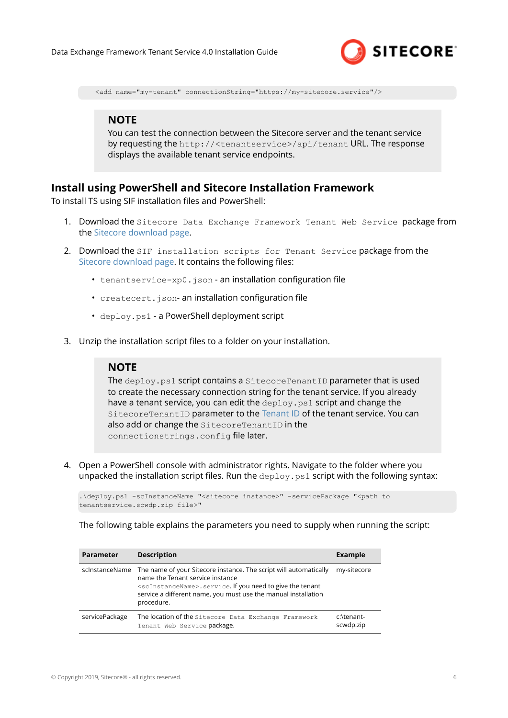

<add name="my-tenant" connectionString="https://my-sitecore.service"/>

#### **NOTE**

You can test the connection between the Sitecore server and the tenant service by requesting the http://<tenantservice>/api/tenant URL. The response displays the available tenant service endpoints.

#### **Install using PowerShell and Sitecore Installation Framework**

To install TS using SIF installation files and PowerShell:

- 1. Download the Sitecore Data Exchange Framework Tenant Web Service package from the [Sitecore download page.](https://dev.sitecore.net)
- 2. Download the SIF installation scripts for Tenant Service package from the [Sitecore download page](https://dev.sitecore.net). It contains the following files:
	- tenantservice-xp0.json an installation configuration file
	- createcert.json- an installation configuration file
	- deploy.ps1 a PowerShell deployment script
- 3. Unzip the installation script files to a folder on your installation.

#### **NOTE**

The deploy.ps1 script contains a SitecoreTenantID parameter that is used to create the necessary connection string for the tenant service. If you already have a tenant service, you can edit the deploy.ps1 script and change the SitecoreTenantID parameter to the [Tenant ID](#page-6-0) of the tenant service. You can also add or change the SitecoreTenantID in the connectionstrings.config file later.

4. Open a PowerShell console with administrator rights. Navigate to the folder where you unpacked the installation script files. Run the  $\text{depth}$ ,  $\text{path}$  script with the following syntax:

```
.\deploy.ps1 -scInstanceName "<sitecore instance>" -servicePackage "<path to 
tenantservice.scwdp.zip file>"
```
The following table explains the parameters you need to supply when running the script:

| <b>Parameter</b> | <b>Description</b>                                                                                                                                                                                                                                                   | Example                 |
|------------------|----------------------------------------------------------------------------------------------------------------------------------------------------------------------------------------------------------------------------------------------------------------------|-------------------------|
| scinstanceName   | The name of your Sitecore instance. The script will automatically<br>name the Tenant service instance<br><scinstancename>.service. If you need to give the tenant<br/>service a different name, you must use the manual installation<br/>procedure.</scinstancename> | my-sitecore             |
| servicePackage   | The location of the Sitecore Data Exchange Framework<br>Tenant Web Service package.                                                                                                                                                                                  | c:\tenant-<br>scwdp.zip |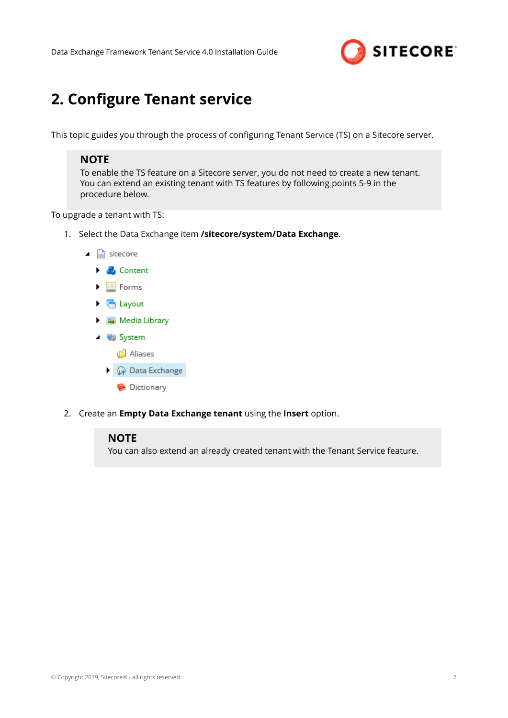

# <span id="page-6-0"></span>**2. Configure Tenant service**

This topic guides you through the process of configuring Tenant Service (TS) on a Sitecore server.

#### **NOTE**

To enable the TS feature on a Sitecore server, you do not need to create a new tenant. You can extend an existing tenant with TS features by following points 5-9 in the procedure below.

To upgrade a tenant with TS:

1. Select the Data Exchange item **/sitecore/system/Data Exchange**.



2. Create an **Empty Data Exchange tenant** using the **Insert** option.

#### **NOTE**

You can also extend an already created tenant with the Tenant Service feature.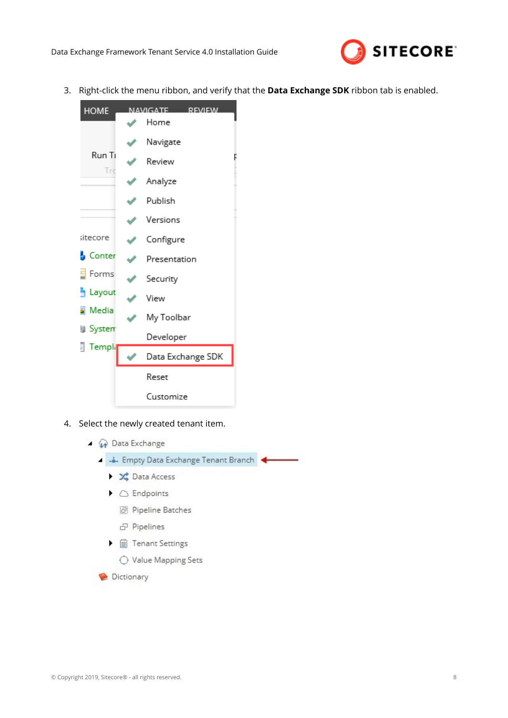

3. Right-click the menu ribbon, and verify that the **Data Exchange SDK** ribbon tab is enabled.



- 4. Select the newly created tenant item.
	- ▲ A Data Exchange
		- 4 Empty Data Exchange Tenant Branch
			- ▶ <del>X</del> Data Access
			- $\blacktriangleright$   $\bigcirc$  Endpoints
				- 湖 Pipeline Batches
				- 日 Pipelines
			- $\blacktriangleright$   $\mathbb{H}$  Tenant Settings
				- O Value Mapping Sets
		- Dictionary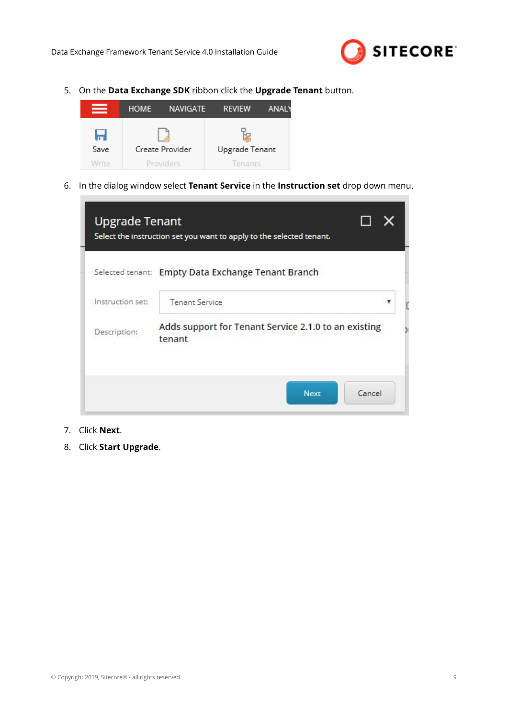

5. On the **Data Exchange SDK** ribbon click the **Upgrade Tenant** button.



6. In the dialog window select **Tenant Service** in the **Instruction set** drop down menu.

|                  | Selected tenant: Empty Data Exchange Tenant Branch             |  |
|------------------|----------------------------------------------------------------|--|
| Instruction set: | <b>Tenant Service</b>                                          |  |
| Description:     | Adds support for Tenant Service 2.1.0 to an existing<br>tenant |  |

- 7. Click **Next**.
- 8. Click **Start Upgrade**.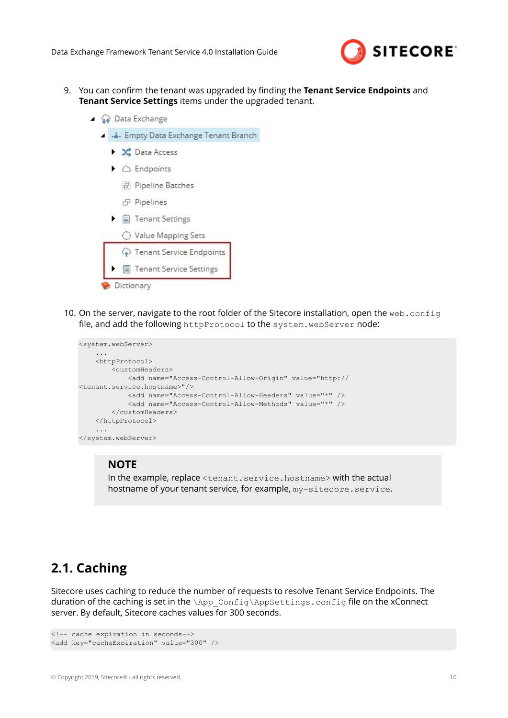

- <span id="page-9-0"></span>9. You can confirm the tenant was upgraded by finding the **Tenant Service Endpoints** and **Tenant Service Settings** items under the upgraded tenant.
	- ▲ A Data Exchange
		- 4 Empty Data Exchange Tenant Branch
			- ▶ <del>X</del> Data Access
			- $\triangleright$   $\bigcirc$  Endpoints
				- <sup>语</sup>: Pipeline Batches
				- **d** Pipelines
			- $\blacktriangleright$   $\mathbb{H}$  Tenant Settings

| ◯ Value Mapping Sets        |
|-----------------------------|
| ♦ Tenant Service Endpoints  |
| ▶ 图 Tenant Service Settings |
| Dictionary                  |

10. On the server, navigate to the root folder of the Sitecore installation, open the web.config file, and add the following httpProtocol to the system. webServer node:

```
<system.webServer>
 ...
    <httpProtocol>
        <customHeaders>
            <add name="Access-Control-Allow-Origin" value="http://
<tenant.service.hostname>"/>
            <add name="Access-Control-Allow-Headers" value="*" />
            <add name="Access-Control-Allow-Methods" value="*" />
        </customHeaders>
    </httpProtocol>
 ...
</system.webServer>
```
#### **NOTE**

In the example, replace <tenant.service.hostname> with the actual hostname of your tenant service, for example,  $my\text{-}sitecore$ . service.

### **2.1. Caching**

Sitecore uses caching to reduce the number of requests to resolve Tenant Service Endpoints. The duration of the caching is set in the \App\_Config\AppSettings.config file on the xConnect server. By default, Sitecore caches values for 300 seconds.

```
<!-- cache expiration in seconds-->
<add key="cacheExpiration" value="300" />
```